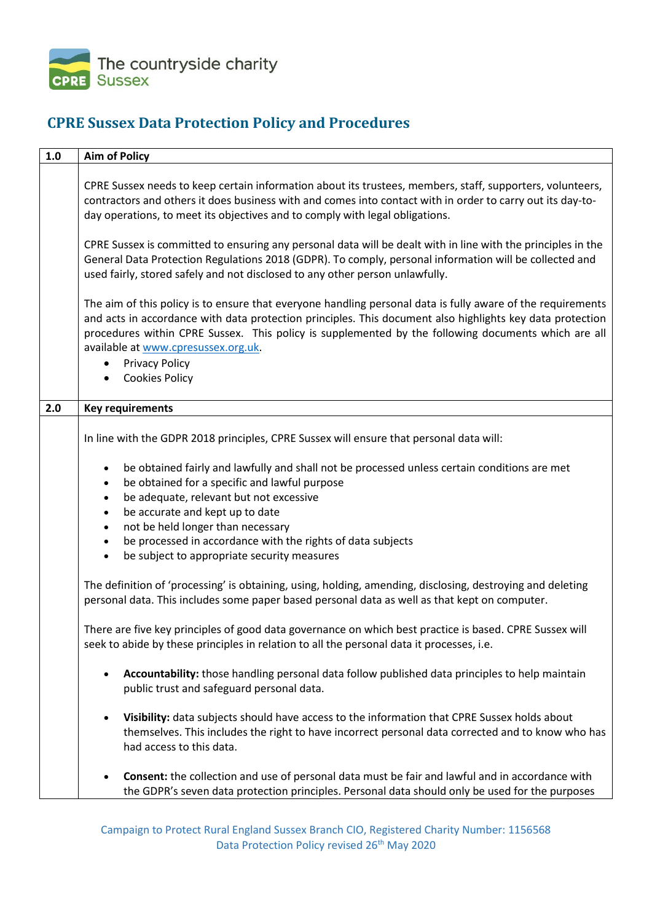

## **CPRE Sussex Data Protection Policy and Procedures**

| $1.0\,$ | <b>Aim of Policy</b>                                                                                                                                                                                                                                                                                                                                                                                                     |
|---------|--------------------------------------------------------------------------------------------------------------------------------------------------------------------------------------------------------------------------------------------------------------------------------------------------------------------------------------------------------------------------------------------------------------------------|
|         | CPRE Sussex needs to keep certain information about its trustees, members, staff, supporters, volunteers,<br>contractors and others it does business with and comes into contact with in order to carry out its day-to-<br>day operations, to meet its objectives and to comply with legal obligations.                                                                                                                  |
|         | CPRE Sussex is committed to ensuring any personal data will be dealt with in line with the principles in the<br>General Data Protection Regulations 2018 (GDPR). To comply, personal information will be collected and<br>used fairly, stored safely and not disclosed to any other person unlawfully.                                                                                                                   |
|         | The aim of this policy is to ensure that everyone handling personal data is fully aware of the requirements<br>and acts in accordance with data protection principles. This document also highlights key data protection<br>procedures within CPRE Sussex. This policy is supplemented by the following documents which are all<br>available at www.cpresussex.org.uk.<br><b>Privacy Policy</b><br><b>Cookies Policy</b> |
|         |                                                                                                                                                                                                                                                                                                                                                                                                                          |
| 2.0     | <b>Key requirements</b>                                                                                                                                                                                                                                                                                                                                                                                                  |
|         | In line with the GDPR 2018 principles, CPRE Sussex will ensure that personal data will:                                                                                                                                                                                                                                                                                                                                  |
|         | be obtained fairly and lawfully and shall not be processed unless certain conditions are met<br>$\bullet$<br>be obtained for a specific and lawful purpose<br>$\bullet$<br>be adequate, relevant but not excessive<br>$\bullet$<br>be accurate and kept up to date<br>$\bullet$<br>not be held longer than necessary<br>$\bullet$<br>be processed in accordance with the rights of data subjects<br>$\bullet$            |
|         | be subject to appropriate security measures<br>$\bullet$<br>The definition of 'processing' is obtaining, using, holding, amending, disclosing, destroying and deleting<br>personal data. This includes some paper based personal data as well as that kept on computer.                                                                                                                                                  |
|         | There are five key principles of good data governance on which best practice is based. CPRE Sussex will<br>seek to abide by these principles in relation to all the personal data it processes, i.e.                                                                                                                                                                                                                     |
|         | Accountability: those handling personal data follow published data principles to help maintain<br>$\bullet$<br>public trust and safeguard personal data.                                                                                                                                                                                                                                                                 |
|         | Visibility: data subjects should have access to the information that CPRE Sussex holds about<br>$\bullet$<br>themselves. This includes the right to have incorrect personal data corrected and to know who has<br>had access to this data.                                                                                                                                                                               |
|         | Consent: the collection and use of personal data must be fair and lawful and in accordance with<br>$\bullet$<br>the GDPR's seven data protection principles. Personal data should only be used for the purposes                                                                                                                                                                                                          |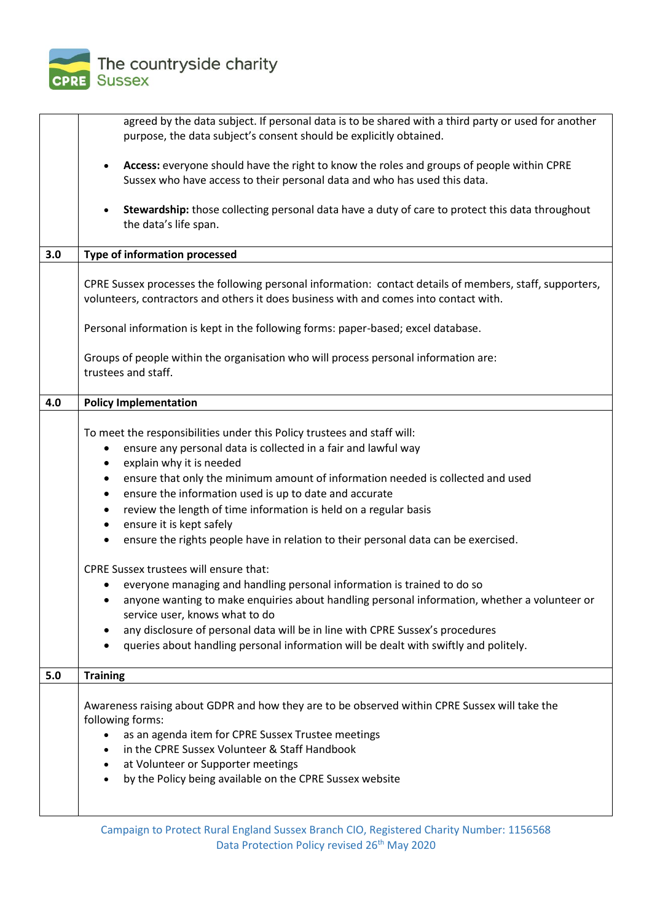

|     | agreed by the data subject. If personal data is to be shared with a third party or used for another                                                                                                                                                                                                                                                                                                                                                                                                                                                                                                                                                                                                                                                                                                                                                                                                                                                                                                     |
|-----|---------------------------------------------------------------------------------------------------------------------------------------------------------------------------------------------------------------------------------------------------------------------------------------------------------------------------------------------------------------------------------------------------------------------------------------------------------------------------------------------------------------------------------------------------------------------------------------------------------------------------------------------------------------------------------------------------------------------------------------------------------------------------------------------------------------------------------------------------------------------------------------------------------------------------------------------------------------------------------------------------------|
|     | purpose, the data subject's consent should be explicitly obtained.                                                                                                                                                                                                                                                                                                                                                                                                                                                                                                                                                                                                                                                                                                                                                                                                                                                                                                                                      |
|     | Access: everyone should have the right to know the roles and groups of people within CPRE                                                                                                                                                                                                                                                                                                                                                                                                                                                                                                                                                                                                                                                                                                                                                                                                                                                                                                               |
|     | Sussex who have access to their personal data and who has used this data.                                                                                                                                                                                                                                                                                                                                                                                                                                                                                                                                                                                                                                                                                                                                                                                                                                                                                                                               |
|     | Stewardship: those collecting personal data have a duty of care to protect this data throughout<br>$\bullet$<br>the data's life span.                                                                                                                                                                                                                                                                                                                                                                                                                                                                                                                                                                                                                                                                                                                                                                                                                                                                   |
| 3.0 | <b>Type of information processed</b>                                                                                                                                                                                                                                                                                                                                                                                                                                                                                                                                                                                                                                                                                                                                                                                                                                                                                                                                                                    |
|     |                                                                                                                                                                                                                                                                                                                                                                                                                                                                                                                                                                                                                                                                                                                                                                                                                                                                                                                                                                                                         |
|     | CPRE Sussex processes the following personal information: contact details of members, staff, supporters,<br>volunteers, contractors and others it does business with and comes into contact with.                                                                                                                                                                                                                                                                                                                                                                                                                                                                                                                                                                                                                                                                                                                                                                                                       |
|     | Personal information is kept in the following forms: paper-based; excel database.                                                                                                                                                                                                                                                                                                                                                                                                                                                                                                                                                                                                                                                                                                                                                                                                                                                                                                                       |
|     | Groups of people within the organisation who will process personal information are:<br>trustees and staff.                                                                                                                                                                                                                                                                                                                                                                                                                                                                                                                                                                                                                                                                                                                                                                                                                                                                                              |
| 4.0 | <b>Policy Implementation</b>                                                                                                                                                                                                                                                                                                                                                                                                                                                                                                                                                                                                                                                                                                                                                                                                                                                                                                                                                                            |
|     | To meet the responsibilities under this Policy trustees and staff will:<br>ensure any personal data is collected in a fair and lawful way<br>explain why it is needed<br>$\bullet$<br>ensure that only the minimum amount of information needed is collected and used<br>٠<br>ensure the information used is up to date and accurate<br>٠<br>review the length of time information is held on a regular basis<br>$\bullet$<br>ensure it is kept safely<br>٠<br>ensure the rights people have in relation to their personal data can be exercised.<br>$\bullet$<br><b>CPRE Sussex trustees will ensure that:</b><br>everyone managing and handling personal information is trained to do so<br>• anyone wanting to make enquiries about handling personal information, whether a volunteer or<br>service user, knows what to do<br>any disclosure of personal data will be in line with CPRE Sussex's procedures<br>queries about handling personal information will be dealt with swiftly and politely. |
|     |                                                                                                                                                                                                                                                                                                                                                                                                                                                                                                                                                                                                                                                                                                                                                                                                                                                                                                                                                                                                         |
| 5.0 | <b>Training</b>                                                                                                                                                                                                                                                                                                                                                                                                                                                                                                                                                                                                                                                                                                                                                                                                                                                                                                                                                                                         |
|     | Awareness raising about GDPR and how they are to be observed within CPRE Sussex will take the<br>following forms:<br>as an agenda item for CPRE Sussex Trustee meetings<br>in the CPRE Sussex Volunteer & Staff Handbook<br>at Volunteer or Supporter meetings<br>by the Policy being available on the CPRE Sussex website<br>$\bullet$                                                                                                                                                                                                                                                                                                                                                                                                                                                                                                                                                                                                                                                                 |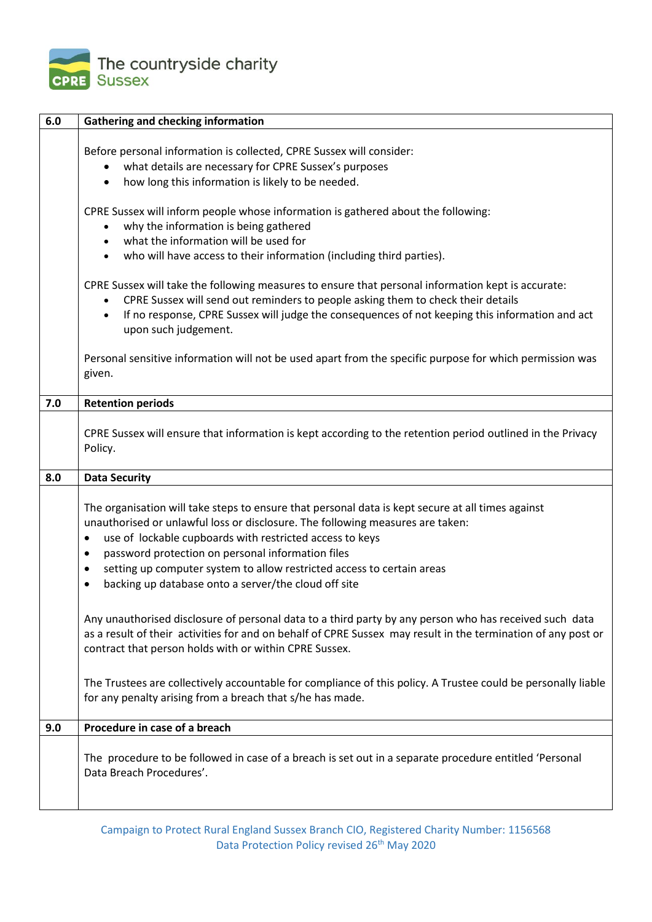

| 6.0 | <b>Gathering and checking information</b>                                                                                                                                                                                                                                                                                                                                                                                                                                                                                                                                                                                                                                                                                                              |
|-----|--------------------------------------------------------------------------------------------------------------------------------------------------------------------------------------------------------------------------------------------------------------------------------------------------------------------------------------------------------------------------------------------------------------------------------------------------------------------------------------------------------------------------------------------------------------------------------------------------------------------------------------------------------------------------------------------------------------------------------------------------------|
|     | Before personal information is collected, CPRE Sussex will consider:<br>what details are necessary for CPRE Sussex's purposes<br>how long this information is likely to be needed.<br>CPRE Sussex will inform people whose information is gathered about the following:<br>why the information is being gathered<br>what the information will be used for<br>who will have access to their information (including third parties).<br>CPRE Sussex will take the following measures to ensure that personal information kept is accurate:<br>CPRE Sussex will send out reminders to people asking them to check their details<br>If no response, CPRE Sussex will judge the consequences of not keeping this information and act<br>upon such judgement. |
|     | Personal sensitive information will not be used apart from the specific purpose for which permission was<br>given.                                                                                                                                                                                                                                                                                                                                                                                                                                                                                                                                                                                                                                     |
| 7.0 | <b>Retention periods</b>                                                                                                                                                                                                                                                                                                                                                                                                                                                                                                                                                                                                                                                                                                                               |
|     | CPRE Sussex will ensure that information is kept according to the retention period outlined in the Privacy<br>Policy.                                                                                                                                                                                                                                                                                                                                                                                                                                                                                                                                                                                                                                  |
| 8.0 | <b>Data Security</b>                                                                                                                                                                                                                                                                                                                                                                                                                                                                                                                                                                                                                                                                                                                                   |
|     | The organisation will take steps to ensure that personal data is kept secure at all times against<br>unauthorised or unlawful loss or disclosure. The following measures are taken:<br>use of lockable cupboards with restricted access to keys<br>$\bullet$<br>password protection on personal information files<br>$\bullet$<br>setting up computer system to allow restricted access to certain areas<br>$\bullet$<br>backing up database onto a server/the cloud off site                                                                                                                                                                                                                                                                          |
|     | Any unauthorised disclosure of personal data to a third party by any person who has received such data<br>as a result of their activities for and on behalf of CPRE Sussex may result in the termination of any post or<br>contract that person holds with or within CPRE Sussex.                                                                                                                                                                                                                                                                                                                                                                                                                                                                      |
|     | The Trustees are collectively accountable for compliance of this policy. A Trustee could be personally liable<br>for any penalty arising from a breach that s/he has made.                                                                                                                                                                                                                                                                                                                                                                                                                                                                                                                                                                             |
| 9.0 | Procedure in case of a breach                                                                                                                                                                                                                                                                                                                                                                                                                                                                                                                                                                                                                                                                                                                          |
|     | The procedure to be followed in case of a breach is set out in a separate procedure entitled 'Personal<br>Data Breach Procedures'.                                                                                                                                                                                                                                                                                                                                                                                                                                                                                                                                                                                                                     |

Campaign to Protect Rural England Sussex Branch CIO, Registered Charity Number: 1156568 Data Protection Policy revised 26<sup>th</sup> May 2020